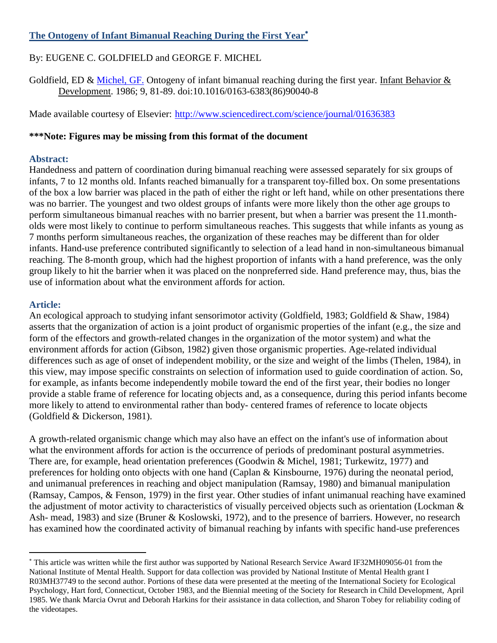# **The Ontogeny of Infant Bimanual Reaching During the First Year**

## By: EUGENE C. GOLDFIELD and GEORGE F. MICHEL

Goldfield, ED & [Michel, GF.](http://libres.uncg.edu/ir/uncg/clist.aspx?id=446) Ontogeny of infant bimanual reaching during the first year. Infant Behavior  $\&$ Development. 1986; 9, 81-89. doi:10.1016/0163-6383(86)90040-8

Made available courtesy of Elsevier:<http://www.sciencedirect.com/science/journal/01636383>

### **\*\*\*Note: Figures may be missing from this format of the document**

### **Abstract:**

Handedness and pattern of coordination during bimanual reaching were assessed separately for six groups of infants, 7 to 12 months old. Infants reached bimanually for a transparent toy-filled box. On some presentations of the box a low barrier was placed in the path of either the right or left hand, while on other presentations there was no barrier. The youngest and two oldest groups of infants were more likely thon the other age groups to perform simultaneous bimanual reaches with no barrier present, but when a barrier was present the 11.montholds were most likely to continue to perform simultaneous reaches. This suggests that while infants as young as 7 months perform simultaneous reaches, the organization of these reaches may be different than for older infants. Hand-use preference contributed significantly to selection of a lead hand in non-simultaneous bimanual reaching. The 8-month group, which had the highest proportion of infants with a hand preference, was the only group likely to hit the barrier when it was placed on the nonpreferred side. Hand preference may, thus, bias the use of information about what the environment affords for action.

## **Article:**

 $\overline{a}$ 

An ecological approach to studying infant sensorimotor activity (Goldfield, 1983; Goldfield & Shaw, 1984) asserts that the organization of action is a joint product of organismic properties of the infant (e.g., the size and form of the effectors and growth-related changes in the organization of the motor system) and what the environment affords for action (Gibson, 1982) given those organismic properties. Age-related individual differences such as age of onset of independent mobility, or the size and weight of the limbs (Thelen, 1984), in this view, may impose specific constraints on selection of information used to guide coordination of action. So, for example, as infants become independently mobile toward the end of the first year, their bodies no longer provide a stable frame of reference for locating objects and, as a consequence, during this period infants become more likely to attend to environmental rather than body- centered frames of reference to locate objects (Goldfield & Dickerson, 1981).

A growth-related organismic change which may also have an effect on the infant's use of information about what the environment affords for action is the occurrence of periods of predominant postural asymmetries. There are, for example, head orientation preferences (Goodwin & Michel, 1981; Turkewitz, 1977) and preferences for holding onto objects with one hand (Caplan & Kinsbourne, 1976) during the neonatal period, and unimanual preferences in reaching and object manipulation (Ramsay, 1980) and bimanual manipulation (Ramsay, Campos, & Fenson, 1979) in the first year. Other studies of infant unimanual reaching have examined the adjustment of motor activity to characteristics of visually perceived objects such as orientation (Lockman & Ash- mead, 1983) and size (Bruner & Koslowski, 1972), and to the presence of barriers. However, no research has examined how the coordinated activity of bimanual reaching by infants with specific hand-use preferences

This article was written while the first author was supported by National Research Service Award IF32MH09056-01 from the National Institute of Mental Health. Support for data collection was provided by National Institute of Mental Health grant I R03MH37749 to the second author. Portions of these data were presented at the meeting of the International Society for Ecological Psychology, Hart ford, Connecticut, October 1983, and the Biennial meeting of the Society for Research in Child Development, April 1985. We thank Marcia Ovrut and Deborah Harkins for their assistance in data collection, and Sharon Tobey for reliability coding of the videotapes.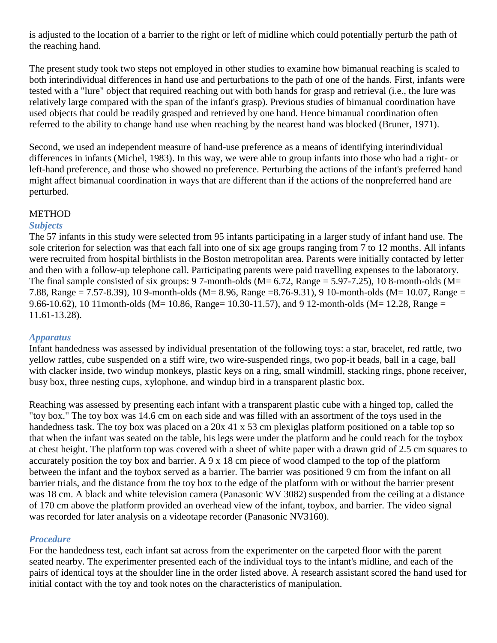is adjusted to the location of a barrier to the right or left of midline which could potentially perturb the path of the reaching hand.

The present study took two steps not employed in other studies to examine how bimanual reaching is scaled to both interindividual differences in hand use and perturbations to the path of one of the hands. First, infants were tested with a "lure" object that required reaching out with both hands for grasp and retrieval (i.e., the lure was relatively large compared with the span of the infant's grasp). Previous studies of bimanual coordination have used objects that could be readily grasped and retrieved by one hand. Hence bimanual coordination often referred to the ability to change hand use when reaching by the nearest hand was blocked (Bruner, 1971).

Second, we used an independent measure of hand-use preference as a means of identifying interindividual differences in infants (Michel, 1983). In this way, we were able to group infants into those who had a right- or left-hand preference, and those who showed no preference. Perturbing the actions of the infant's preferred hand might affect bimanual coordination in ways that are different than if the actions of the nonpreferred hand are perturbed.

#### **METHOD**

#### *Subjects*

The 57 infants in this study were selected from 95 infants participating in a larger study of infant hand use. The sole criterion for selection was that each fall into one of six age groups ranging from 7 to 12 months. All infants were recruited from hospital birthlists in the Boston metropolitan area. Parents were initially contacted by letter and then with a follow-up telephone call. Participating parents were paid travelling expenses to the laboratory. The final sample consisted of six groups: 9 7-month-olds ( $M = 6.72$ , Range = 5.97-7.25), 10 8-month-olds ( $M =$ 7.88, Range = 7.57-8.39), 10 9-month-olds (M= 8.96, Range =8.76-9.31), 9 10-month-olds (M= 10.07, Range = 9.66-10.62), 10 11 month-olds (M = 10.86, Range = 10.30-11.57), and 9 12-month-olds (M = 12.28, Range = 11.61-13.28).

#### *Apparatus*

Infant handedness was assessed by individual presentation of the following toys: a star, bracelet, red rattle, two yellow rattles, cube suspended on a stiff wire, two wire-suspended rings, two pop-it beads, ball in a cage, ball with clacker inside, two windup monkeys, plastic keys on a ring, small windmill, stacking rings, phone receiver, busy box, three nesting cups, xylophone, and windup bird in a transparent plastic box.

Reaching was assessed by presenting each infant with a transparent plastic cube with a hinged top, called the "toy box." The toy box was 14.6 cm on each side and was filled with an assortment of the toys used in the handedness task. The toy box was placed on a 20x 41 x 53 cm plexiglas platform positioned on a table top so that when the infant was seated on the table, his legs were under the platform and he could reach for the toybox at chest height. The platform top was covered with a sheet of white paper with a drawn grid of 2.5 cm squares to accurately position the toy box and barrier. A 9 x 18 cm piece of wood clamped to the top of the platform between the infant and the toybox served as a barrier. The barrier was positioned 9 cm from the infant on all barrier trials, and the distance from the toy box to the edge of the platform with or without the barrier present was 18 cm. A black and white television camera (Panasonic WV 3082) suspended from the ceiling at a distance of 170 cm above the platform provided an overhead view of the infant, toybox, and barrier. The video signal was recorded for later analysis on a videotape recorder (Panasonic NV3160).

#### *Procedure*

For the handedness test, each infant sat across from the experimenter on the carpeted floor with the parent seated nearby. The experimenter presented each of the individual toys to the infant's midline, and each of the pairs of identical toys at the shoulder line in the order listed above. A research assistant scored the hand used for initial contact with the toy and took notes on the characteristics of manipulation.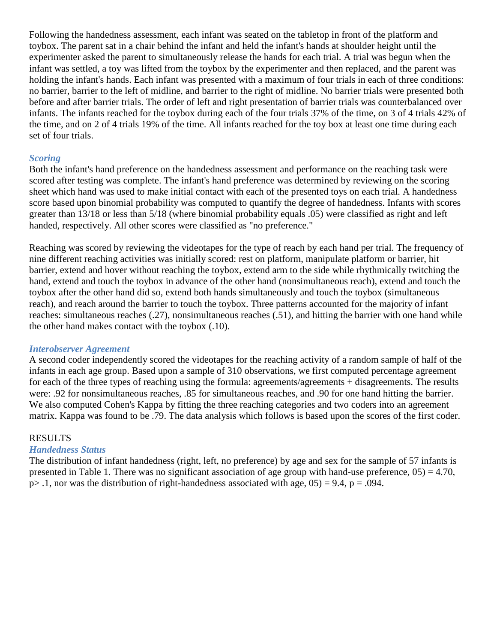Following the handedness assessment, each infant was seated on the tabletop in front of the platform and toybox. The parent sat in a chair behind the infant and held the infant's hands at shoulder height until the experimenter asked the parent to simultaneously release the hands for each trial. A trial was begun when the infant was settled, a toy was lifted from the toybox by the experimenter and then replaced, and the parent was holding the infant's hands. Each infant was presented with a maximum of four trials in each of three conditions: no barrier, barrier to the left of midline, and barrier to the right of midline. No barrier trials were presented both before and after barrier trials. The order of left and right presentation of barrier trials was counterbalanced over infants. The infants reached for the toybox during each of the four trials 37% of the time, on 3 of 4 trials 42% of the time, and on 2 of 4 trials 19% of the time. All infants reached for the toy box at least one time during each set of four trials.

### *Scoring*

Both the infant's hand preference on the handedness assessment and performance on the reaching task were scored after testing was complete. The infant's hand preference was determined by reviewing on the scoring sheet which hand was used to make initial contact with each of the presented toys on each trial. A handedness score based upon binomial probability was computed to quantify the degree of handedness. Infants with scores greater than 13/18 or less than 5/18 (where binomial probability equals .05) were classified as right and left handed, respectively. All other scores were classified as "no preference."

Reaching was scored by reviewing the videotapes for the type of reach by each hand per trial. The frequency of nine different reaching activities was initially scored: rest on platform, manipulate platform or barrier, hit barrier, extend and hover without reaching the toybox, extend arm to the side while rhythmically twitching the hand, extend and touch the toybox in advance of the other hand (nonsimultaneous reach), extend and touch the toybox after the other hand did so, extend both hands simultaneously and touch the toybox (simultaneous reach), and reach around the barrier to touch the toybox. Three patterns accounted for the majority of infant reaches: simultaneous reaches (.27), nonsimultaneous reaches (.51), and hitting the barrier with one hand while the other hand makes contact with the toybox (.10).

#### *Interobserver Agreement*

A second coder independently scored the videotapes for the reaching activity of a random sample of half of the infants in each age group. Based upon a sample of 310 observations, we first computed percentage agreement for each of the three types of reaching using the formula: agreements/agreements + disagreements. The results were: .92 for nonsimultaneous reaches, .85 for simultaneous reaches, and .90 for one hand hitting the barrier. We also computed Cohen's Kappa by fitting the three reaching categories and two coders into an agreement matrix. Kappa was found to be .79. The data analysis which follows is based upon the scores of the first coder.

#### RESULTS

#### *Handedness Status*

The distribution of infant handedness (right, left, no preference) by age and sex for the sample of 57 infants is presented in Table 1. There was no significant association of age group with hand-use preference,  $05$ ) = 4.70,  $p > 0.1$ , nor was the distribution of right-handedness associated with age,  $0.05$  = 9.4, p = .094.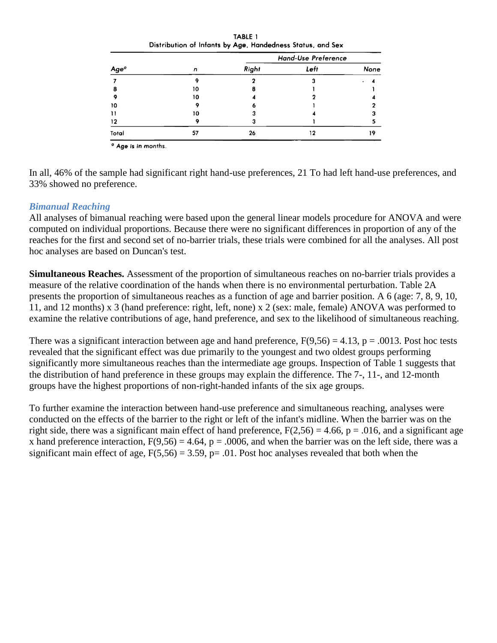|                  |    | Hand-Use Preference |      |      |  |
|------------------|----|---------------------|------|------|--|
| Age <sup>o</sup> | n  | Right               | Left | None |  |
|                  |    |                     |      |      |  |
|                  | 10 |                     |      |      |  |
|                  | 10 |                     |      |      |  |
| 10               |    |                     |      |      |  |
|                  | 10 |                     |      |      |  |
| 12               |    |                     |      |      |  |
| Total            | 57 | 26                  | 12   | 19   |  |

TABLE 1

<sup>o</sup> Age is in months.

In all, 46% of the sample had significant right hand-use preferences, 21 To had left hand-use preferences, and 33% showed no preference.

### *Bimanual Reaching*

All analyses of bimanual reaching were based upon the general linear models procedure for ANOVA and were computed on individual proportions. Because there were no significant differences in proportion of any of the reaches for the first and second set of no-barrier trials, these trials were combined for all the analyses. All post hoc analyses are based on Duncan's test.

**Simultaneous Reaches.** Assessment of the proportion of simultaneous reaches on no-barrier trials provides a measure of the relative coordination of the hands when there is no environmental perturbation. Table 2A presents the proportion of simultaneous reaches as a function of age and barrier position. A 6 (age: 7, 8, 9, 10, 11, and 12 months) x 3 (hand preference: right, left, none) x 2 (sex: male, female) ANOVA was performed to examine the relative contributions of age, hand preference, and sex to the likelihood of simultaneous reaching.

There was a significant interaction between age and hand preference,  $F(9,56) = 4.13$ ,  $p = .0013$ . Post hoc tests revealed that the significant effect was due primarily to the youngest and two oldest groups performing significantly more simultaneous reaches than the intermediate age groups. Inspection of Table 1 suggests that the distribution of hand preference in these groups may explain the difference. The 7-, 11-, and 12-month groups have the highest proportions of non-right-handed infants of the six age groups.

To further examine the interaction between hand-use preference and simultaneous reaching, analyses were conducted on the effects of the barrier to the right or left of the infant's midline. When the barrier was on the right side, there was a significant main effect of hand preference,  $F(2,56) = 4.66$ ,  $p = .016$ , and a significant age x hand preference interaction,  $F(9,56) = 4.64$ ,  $p = .0006$ , and when the barrier was on the left side, there was a significant main effect of age,  $F(5,56) = 3.59$ ,  $p = .01$ . Post hoc analyses revealed that both when the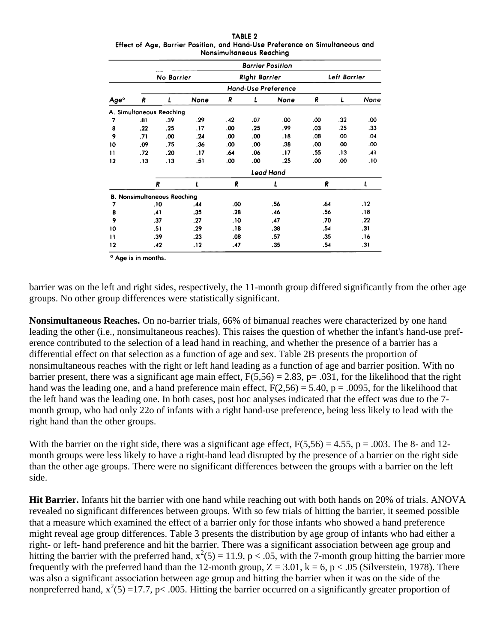|                                                                              | <b>TABLE 2</b>           |  |  |
|------------------------------------------------------------------------------|--------------------------|--|--|
| Effect of Age, Barrier Position, and Hand-Use Preference on Simultaneous and |                          |  |  |
|                                                                              | Nonsimultaneous Reachina |  |  |

|      |     |                                    |      |     |                      | <b>Barrier Position</b> |     |              |      |
|------|-----|------------------------------------|------|-----|----------------------|-------------------------|-----|--------------|------|
|      |     | No Barrier                         |      |     | <b>Right Barrier</b> |                         |     | Left Barrier |      |
|      |     |                                    |      |     |                      | Hand-Use Preference     |     |              |      |
| Ageº | R   | L                                  | None | R   | L                    | None                    | R   | L            | None |
|      |     | A. Simultaneous Reaching           |      |     |                      |                         |     |              |      |
| 7    | .81 | .39                                | .29  | .42 | .07                  | .00                     | .00 | .32          | .00  |
| 8    | .22 | .25                                | . 17 | .00 | .25                  | .99                     | .03 | .25          | .33  |
| 9    | .71 | .00                                | .24  | .00 | .00                  | .18                     | .08 | .00          | .04  |
| 10   | .09 | .75                                | .36  | .00 | .00                  | .38                     | .00 | .00          | .00  |
| 11   | .72 | .20                                | .17  | .64 | .06                  | 17.                     | .55 | .13          | .41  |
| 12   | .13 | . 13                               | .51  | .00 | .00                  | .25                     | .00 | .00          | .10  |
|      |     |                                    |      |     |                      | Lead Hand               |     |              |      |
|      |     | R                                  | L    | R   |                      | L                       | R   |              | L    |
|      |     | <b>B. Nonsimultaneous Reaching</b> |      |     |                      |                         |     |              |      |
| 7    |     | .10                                | .44  | .00 |                      | .56                     | .64 |              | .12  |
| 8    |     | .41                                | .35  | .28 |                      | .46                     | .56 |              | .18  |
| 9    |     | .37                                | .27  | .10 |                      | .47                     | .70 |              | .22  |
| 10   |     | .51                                | .29  | .18 |                      | .38                     | .54 |              | .31  |
| Н    |     | .39                                | .23  | .08 |                      | .57                     | .35 |              | .16  |
| 12   |     | .42                                | . 12 | .47 |                      | .35                     | .54 |              | .31  |

<sup>a</sup> Age is in months.

barrier was on the left and right sides, respectively, the 11-month group differed significantly from the other age groups. No other group differences were statistically significant.

**Nonsimultaneous Reaches.** On no-barrier trials, 66% of bimanual reaches were characterized by one hand leading the other (i.e., nonsimultaneous reaches). This raises the question of whether the infant's hand-use preference contributed to the selection of a lead hand in reaching, and whether the presence of a barrier has a differential effect on that selection as a function of age and sex. Table 2B presents the proportion of nonsimultaneous reaches with the right or left hand leading as a function of age and barrier position. With no barrier present, there was a significant age main effect,  $F(5,56) = 2.83$ , p= .031, for the likelihood that the right hand was the leading one, and a hand preference main effect,  $F(2,56) = 5.40$ ,  $p = .0095$ , for the likelihood that the left hand was the leading one. In both cases, post hoc analyses indicated that the effect was due to the 7 month group, who had only 22o of infants with a right hand-use preference, being less likely to lead with the right hand than the other groups.

With the barrier on the right side, there was a significant age effect,  $F(5,56) = 4.55$ ,  $p = .003$ . The 8- and 12month groups were less likely to have a right-hand lead disrupted by the presence of a barrier on the right side than the other age groups. There were no significant differences between the groups with a barrier on the left side.

**Hit Barrier.** Infants hit the barrier with one hand while reaching out with both hands on 20% of trials. ANOVA revealed no significant differences between groups. With so few trials of hitting the barrier, it seemed possible that a measure which examined the effect of a barrier only for those infants who showed a hand preference might reveal age group differences. Table 3 presents the distribution by age group of infants who had either a right- or left- hand preference and hit the barrier. There was a significant association between age group and hitting the barrier with the preferred hand,  $x^2(5) = 11.9$ , p < .05, with the 7-month group hitting the barrier more frequently with the preferred hand than the 12-month group,  $Z = 3.01$ ,  $k = 6$ ,  $p < .05$  (Silverstein, 1978). There was also a significant association between age group and hitting the barrier when it was on the side of the nonpreferred hand,  $x^2(5) = 17.7$ , p< .005. Hitting the barrier occurred on a significantly greater proportion of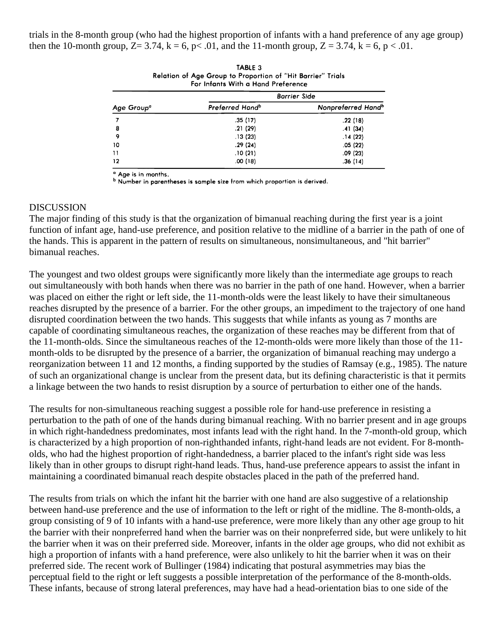trials in the 8-month group (who had the highest proportion of infants with a hand preference of any age group) then the 10-month group,  $Z = 3.74$ ,  $k = 6$ ,  $p < .01$ , and the 11-month group,  $Z = 3.74$ ,  $k = 6$ ,  $p < .01$ .

|                        | Relation of Age Group to Proportion of "Hit Barrier" Trials<br>For Infants With a Hand Preference |                                |  |  |  |
|------------------------|---------------------------------------------------------------------------------------------------|--------------------------------|--|--|--|
|                        | <b>Barrier Side</b>                                                                               |                                |  |  |  |
| Age Group <sup>o</sup> | Preferred Hand <sup>b</sup>                                                                       | Nonpreferred Hand <sup>b</sup> |  |  |  |
|                        | .35(17)                                                                                           | .22(18)                        |  |  |  |
| 8                      | .21(29)                                                                                           | .41(34)                        |  |  |  |
| 9                      | .13(23)                                                                                           | .14(22)                        |  |  |  |
| 10                     | .29(24)                                                                                           | .05(22)                        |  |  |  |
| 11                     | .10(21)                                                                                           | .09(23)                        |  |  |  |
| 12                     | .00(18)                                                                                           | .36(14)                        |  |  |  |

| TABLE 3                                                     |
|-------------------------------------------------------------|
| Relation of Age Group to Proportion of "Hit Barrier" Trials |
| For Infants With a Hand Preference                          |

<sup>a</sup> Age is in months.<br><sup>b</sup> Number in parentheses is sample size from which proportion is derived.

#### DISCUSSION

The major finding of this study is that the organization of bimanual reaching during the first year is a joint function of infant age, hand-use preference, and position relative to the midline of a barrier in the path of one of the hands. This is apparent in the pattern of results on simultaneous, nonsimultaneous, and "hit barrier" bimanual reaches.

The youngest and two oldest groups were significantly more likely than the intermediate age groups to reach out simultaneously with both hands when there was no barrier in the path of one hand. However, when a barrier was placed on either the right or left side, the 11-month-olds were the least likely to have their simultaneous reaches disrupted by the presence of a barrier. For the other groups, an impediment to the trajectory of one hand disrupted coordination between the two hands. This suggests that while infants as young as 7 months are capable of coordinating simultaneous reaches, the organization of these reaches may be different from that of the 11-month-olds. Since the simultaneous reaches of the 12-month-olds were more likely than those of the 11 month-olds to be disrupted by the presence of a barrier, the organization of bimanual reaching may undergo a reorganization between 11 and 12 months, a finding supported by the studies of Ramsay (e.g., 1985). The nature of such an organizational change is unclear from the present data, but its defining characteristic is that it permits a linkage between the two hands to resist disruption by a source of perturbation to either one of the hands.

The results for non-simultaneous reaching suggest a possible role for hand-use preference in resisting a perturbation to the path of one of the hands during bimanual reaching. With no barrier present and in age groups in which right-handedness predominates, most infants lead with the right hand. In the 7-month-old group, which is characterized by a high proportion of non-righthanded infants, right-hand leads are not evident. For 8-montholds, who had the highest proportion of right-handedness, a barrier placed to the infant's right side was less likely than in other groups to disrupt right-hand leads. Thus, hand-use preference appears to assist the infant in maintaining a coordinated bimanual reach despite obstacles placed in the path of the preferred hand.

The results from trials on which the infant hit the barrier with one hand are also suggestive of a relationship between hand-use preference and the use of information to the left or right of the midline. The 8-month-olds, a group consisting of 9 of 10 infants with a hand-use preference, were more likely than any other age group to hit the barrier with their nonpreferred hand when the barrier was on their nonpreferred side, but were unlikely to hit the barrier when it was on their preferred side. Moreover, infants in the older age groups, who did not exhibit as high a proportion of infants with a hand preference, were also unlikely to hit the barrier when it was on their preferred side. The recent work of Bullinger (1984) indicating that postural asymmetries may bias the perceptual field to the right or left suggests a possible interpretation of the performance of the 8-month-olds. These infants, because of strong lateral preferences, may have had a head-orientation bias to one side of the